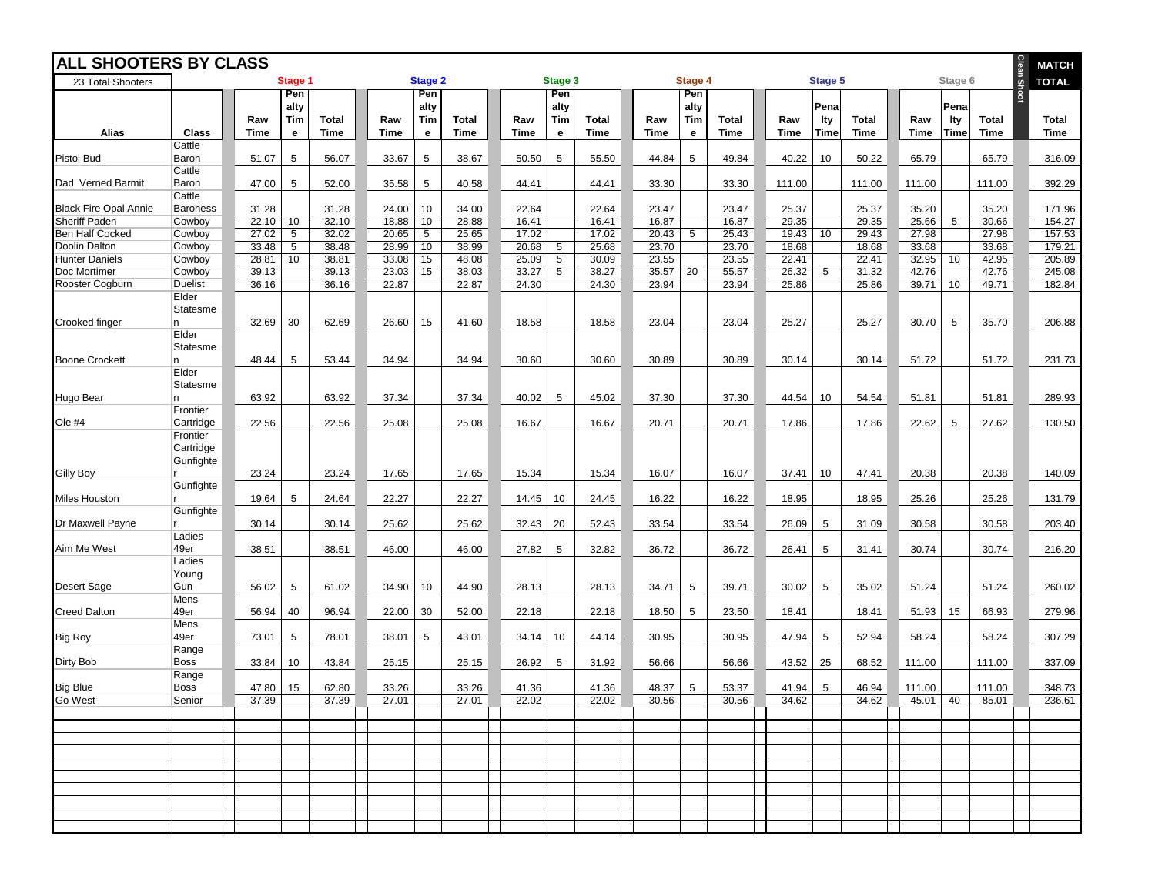| <b>ALL SHOOTERS BY CLASS</b> |                         |             |                 |              |       |                 |             |       |                 |              |         |                 |              | Clean SI | <b>MATCH</b> |              |         |                    |              |  |              |
|------------------------------|-------------------------|-------------|-----------------|--------------|-------|-----------------|-------------|-------|-----------------|--------------|---------|-----------------|--------------|----------|--------------|--------------|---------|--------------------|--------------|--|--------------|
| 23 Total Shooters            |                         |             | Stage 1         |              |       | <b>Stage 2</b>  |             |       | Stage 3         |              | Stage 4 |                 |              | Stage 5  |              |              | Stage 6 |                    | <b>TOTAL</b> |  |              |
|                              |                         |             | Pen             |              |       | Pen             |             |       | Pen             |              |         | Pen             |              |          |              |              |         |                    |              |  |              |
|                              |                         | Raw         | alty<br>Tim     | <b>Total</b> | Raw   | alty<br>Tim     | Total       | Raw   | alty<br>Tim     | <b>Total</b> | Raw     | alty<br>Tim     | <b>Total</b> | Raw      | Pena<br>lty  | <b>Total</b> | Raw     | Pena<br><b>Ity</b> | Total        |  | <b>Total</b> |
| <b>Alias</b>                 | <b>Class</b>            | <b>Time</b> | е               | <b>Time</b>  | Time  | e               | <b>Time</b> | Time  | e               | <b>Time</b>  | Time    | $\mathbf{e}$    | <b>Time</b>  | Time     | <b>Time</b>  | <b>Time</b>  | Time    | Time               | Time         |  | <b>Time</b>  |
|                              | Cattle                  |             |                 |              |       |                 |             |       |                 |              |         |                 |              |          |              |              |         |                    |              |  |              |
| Pistol Bud                   | Baron<br>Cattle         | 51.07       | 5               | 56.07        | 33.67 | $\sqrt{5}$      | 38.67       | 50.50 | 5               | 55.50        | 44.84   | 5               | 49.84        | 40.22    | 10           | 50.22        | 65.79   |                    | 65.79        |  | 316.09       |
| Dad Verned Barmit            | Baron                   | 47.00       | 5               | 52.00        | 35.58 | 5               | 40.58       | 44.41 |                 | 44.41        | 33.30   |                 | 33.30        | 111.00   |              | 111.00       | 111.00  |                    | 111.00       |  | 392.29       |
|                              | Cattle                  |             |                 |              |       |                 |             |       |                 |              |         |                 |              |          |              |              |         |                    |              |  |              |
| <b>Black Fire Opal Annie</b> | <b>Baroness</b>         | 31.28       |                 | 31.28        | 24.00 | 10              | 34.00       | 22.64 |                 | 22.64        | 23.47   |                 | 23.47        | 25.37    |              | 25.37        | 35.20   |                    | 35.20        |  | 171.96       |
| Sheriff Paden                | Cowboy                  | 22.10       | 10              | 32.10        | 18.88 | 10              | 28.88       | 16.41 |                 | 16.41        | 16.87   |                 | 16.87        | 29.35    |              | 29.35        | 25.66   | 5                  | 30.66        |  | 154.27       |
| Ben Half Cocked              | Cowboy                  | 27.02       | 5               | 32.02        | 20.65 | $5\phantom{.0}$ | 25.65       | 17.02 |                 | 17.02        | 20.43   | 5               | 25.43        | 19.43    | 10           | 29.43        | 27.98   |                    | 27.98        |  | 157.53       |
| Doolin Dalton                | Cowboy                  | 33.48       | $5\phantom{.0}$ | 38.48        | 28.99 | 10              | 38.99       | 20.68 | 5               | 25.68        | 23.70   |                 | 23.70        | 18.68    |              | 18.68        | 33.68   |                    | 33.68        |  | 179.21       |
| <b>Hunter Daniels</b>        | Cowboy                  | 28.81       | 10              | 38.81        | 33.08 | 15              | 48.08       | 25.09 | $5\phantom{.0}$ | 30.09        | 23.55   |                 | 23.55        | 22.41    |              | 22.41        | 32.95   | 10                 | 42.95        |  | 205.89       |
| Doc Mortimer                 | Cowboy                  | 39.13       |                 | 39.13        | 23.03 | 15              | 38.03       | 33.27 | $5\phantom{.0}$ | 38.27        | 35.57   | $\overline{20}$ | 55.57        | 26.32    | 5            | 31.32        | 42.76   |                    | 42.76        |  | 245.08       |
| Rooster Cogburn              | <b>Duelist</b><br>Elder | 36.16       |                 | 36.16        | 22.87 |                 | 22.87       | 24.30 |                 | 24.30        | 23.94   |                 | 23.94        | 25.86    |              | 25.86        | 39.71   | 10                 | 49.71        |  | 182.84       |
|                              |                         |             |                 |              |       |                 |             |       |                 |              |         |                 |              |          |              |              |         |                    |              |  |              |
| Crooked finger               | Statesme<br>In.         | 32.69       | 30              | 62.69        | 26.60 | 15              | 41.60       | 18.58 |                 | 18.58        | 23.04   |                 | 23.04        | 25.27    |              | 25.27        | 30.70   | 5                  | 35.70        |  | 206.88       |
|                              | Elder                   |             |                 |              |       |                 |             |       |                 |              |         |                 |              |          |              |              |         |                    |              |  |              |
|                              | Statesme                |             |                 |              |       |                 |             |       |                 |              |         |                 |              |          |              |              |         |                    |              |  |              |
| <b>Boone Crockett</b>        | n.                      | 48.44       | 5               | 53.44        | 34.94 |                 | 34.94       | 30.60 |                 | 30.60        | 30.89   |                 | 30.89        | 30.14    |              | 30.14        | 51.72   |                    | 51.72        |  | 231.73       |
|                              | Elder                   |             |                 |              |       |                 |             |       |                 |              |         |                 |              |          |              |              |         |                    |              |  |              |
|                              | Statesme                |             |                 |              |       |                 |             |       |                 |              |         |                 |              |          |              |              |         |                    |              |  |              |
| Hugo Bear                    | n.                      | 63.92       |                 | 63.92        | 37.34 |                 | 37.34       | 40.02 | 5               | 45.02        | 37.30   |                 | 37.30        | 44.54    | 10           | 54.54        | 51.81   |                    | 51.81        |  | 289.93       |
|                              | Frontier                |             |                 |              |       |                 |             |       |                 |              |         |                 |              |          |              |              |         |                    |              |  |              |
| Ole #4                       | Cartridge               | 22.56       |                 | 22.56        | 25.08 |                 | 25.08       | 16.67 |                 | 16.67        | 20.71   |                 | 20.71        | 17.86    |              | 17.86        | 22.62   | 5                  | 27.62        |  | 130.50       |
|                              | Frontier                |             |                 |              |       |                 |             |       |                 |              |         |                 |              |          |              |              |         |                    |              |  |              |
|                              | Cartridge               |             |                 |              |       |                 |             |       |                 |              |         |                 |              |          |              |              |         |                    |              |  |              |
|                              | Gunfighte               |             |                 |              |       |                 |             |       |                 |              |         |                 |              |          |              |              |         |                    |              |  |              |
| <b>Gilly Boy</b>             |                         | 23.24       |                 | 23.24        | 17.65 |                 | 17.65       | 15.34 |                 | 15.34        | 16.07   |                 | 16.07        | 37.41    | 10           | 47.41        | 20.38   |                    | 20.38        |  | 140.09       |
|                              | Gunfighte               |             |                 |              |       |                 |             |       |                 |              |         |                 |              |          |              |              |         |                    |              |  |              |
| <b>Miles Houston</b>         |                         | 19.64       | 5               | 24.64        | 22.27 |                 | 22.27       | 14.45 | 10              | 24.45        | 16.22   |                 | 16.22        | 18.95    |              | 18.95        | 25.26   |                    | 25.26        |  | 131.79       |
|                              | Gunfighte               |             |                 |              |       |                 |             |       |                 |              |         |                 |              |          |              |              |         |                    |              |  |              |
| Dr Maxwell Payne             |                         | 30.14       |                 | 30.14        | 25.62 |                 | 25.62       | 32.43 | 20              | 52.43        | 33.54   |                 | 33.54        | 26.09    | 5            | 31.09        | 30.58   |                    | 30.58        |  | 203.40       |
|                              | Ladies                  |             |                 |              |       |                 |             |       |                 |              |         |                 |              |          |              |              |         |                    |              |  |              |
| Aim Me West                  | 49er                    | 38.51       |                 | 38.51        | 46.00 |                 | 46.00       | 27.82 | 5               | 32.82        | 36.72   |                 | 36.72        | 26.41    | 5            | 31.41        | 30.74   |                    | 30.74        |  | 216.20       |
|                              | Ladies                  |             |                 |              |       |                 |             |       |                 |              |         |                 |              |          |              |              |         |                    |              |  |              |
|                              | Young                   |             |                 |              |       |                 |             |       |                 |              |         |                 |              |          |              |              |         |                    |              |  |              |
| Desert Sage                  | Gun                     | 56.02       | 5               | 61.02        | 34.90 | 10              | 44.90       | 28.13 |                 | 28.13        | 34.71   | 5               | 39.71        | 30.02    | 5            | 35.02        | 51.24   |                    | 51.24        |  | 260.02       |
|                              | Mens                    |             |                 |              |       |                 |             |       |                 |              |         |                 |              |          |              |              |         |                    |              |  | 279.96       |
| <b>Creed Dalton</b>          | 49er                    | 56.94       | 40              | 96.94        | 22.00 | 30              | 52.00       | 22.18 |                 | 22.18        | 18.50   | 5               | 23.50        | 18.41    |              | 18.41        | 51.93   | 15                 | 66.93        |  |              |
| <b>Big Roy</b>               | Mens<br>49er            | 73.01       | 5               | 78.01        | 38.01 | 5               | 43.01       | 34.14 | 10              | 44.14        | 30.95   |                 | 30.95        | 47.94    | 5            | 52.94        | 58.24   |                    | 58.24        |  | 307.29       |
|                              | Range                   |             |                 |              |       |                 |             |       |                 |              |         |                 |              |          |              |              |         |                    |              |  |              |
| Dirty Bob                    | <b>Boss</b>             | 33.84       | 10              | 43.84        | 25.15 |                 | 25.15       | 26.92 | 5               | 31.92        | 56.66   |                 | 56.66        | 43.52    | 25           | 68.52        | 111.00  |                    | 111.00       |  | 337.09       |
|                              | Range                   |             |                 |              |       |                 |             |       |                 |              |         |                 |              |          |              |              |         |                    |              |  |              |
| <b>Big Blue</b>              | <b>Boss</b>             | 47.80       | 15              | 62.80        | 33.26 |                 | 33.26       | 41.36 |                 | 41.36        | 48.37   | 5               | 53.37        | 41.94    | 5            | 46.94        | 111.00  |                    | 111.00       |  | 348.73       |
| <b>Go West</b>               | Senior                  | 37.39       |                 | 37.39        | 27.01 |                 | 27.01       | 22.02 |                 | 22.02        | 30.56   |                 | 30.56        | 34.62    |              | 34.62        | 45.01   | 40                 | 85.01        |  | 236.61       |
|                              |                         |             |                 |              |       |                 |             |       |                 |              |         |                 |              |          |              |              |         |                    |              |  |              |
|                              |                         |             |                 |              |       |                 |             |       |                 |              |         |                 |              |          |              |              |         |                    |              |  |              |
|                              |                         |             |                 |              |       |                 |             |       |                 |              |         |                 |              |          |              |              |         |                    |              |  |              |
|                              |                         |             |                 |              |       |                 |             |       |                 |              |         |                 |              |          |              |              |         |                    |              |  |              |
|                              |                         |             |                 |              |       |                 |             |       |                 |              |         |                 |              |          |              |              |         |                    |              |  |              |
|                              |                         |             |                 |              |       |                 |             |       |                 |              |         |                 |              |          |              |              |         |                    |              |  |              |
|                              |                         |             |                 |              |       |                 |             |       |                 |              |         |                 |              |          |              |              |         |                    |              |  |              |
|                              |                         |             |                 |              |       |                 |             |       |                 |              |         |                 |              |          |              |              |         |                    |              |  |              |
|                              |                         |             |                 |              |       |                 |             |       |                 |              |         |                 |              |          |              |              |         |                    |              |  |              |
|                              |                         |             |                 |              |       |                 |             |       |                 |              |         |                 |              |          |              |              |         |                    |              |  |              |